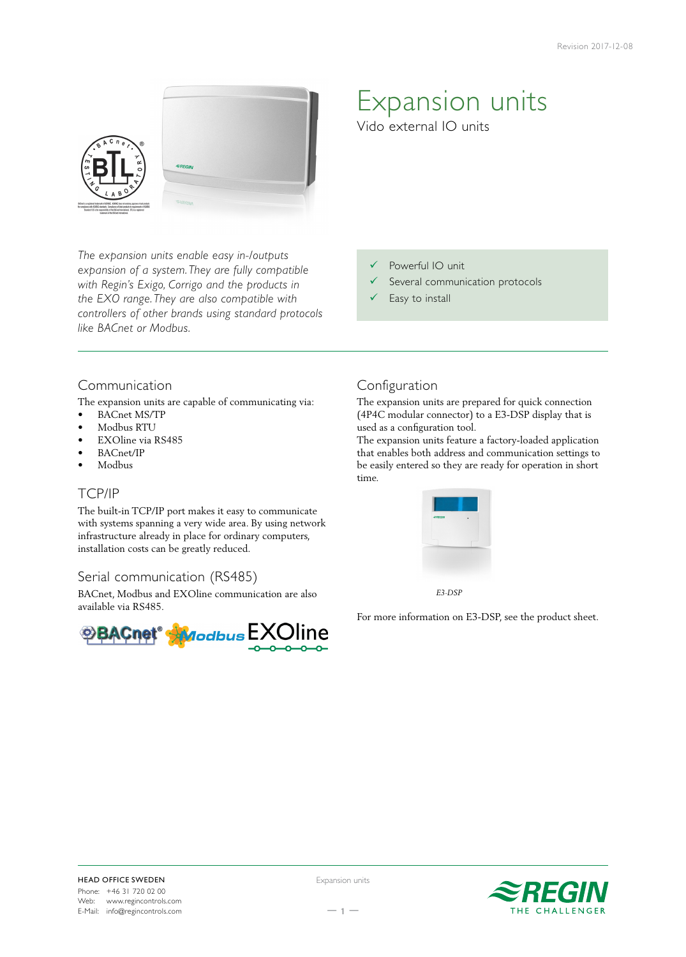

*The expansion units enable easy in-/outputs expansion of a system. They are fully compatible with Regin's Exigo, Corrigo and the products in the EXO range. They are also compatible with controllers of other brands using standard protocols like BACnet or Modbus.*

# Expansion units

Vido external IO units

- Powerful IO unit
- $\checkmark$  Several communication protocols
- $\checkmark$  Easy to install

# Communication

The expansion units are capable of communicating via:

- BACnet MS/TP
- Modbus RTU
- EXOline via RS485
- BACnet/IP
- Modbus

# TCP/IP

The built-in TCP/IP port makes it easy to communicate with systems spanning a very wide area. By using network infrastructure already in place for ordinary computers, installation costs can be greatly reduced.

### Serial communication (RS485)

BACnet, Modbus and EXOline communication are also available via RS485.



# Configuration

The expansion units are prepared for quick connection (4P4C modular connector) to a E3-DSP display that is used as a configuration tool.

The expansion units feature a factory-loaded application that enables both address and communication settings to be easily entered so they are ready for operation in short time.



 *E3-DSP*

For more information on E3-DSP, see the product sheet.



Expansion units

 $-1 -$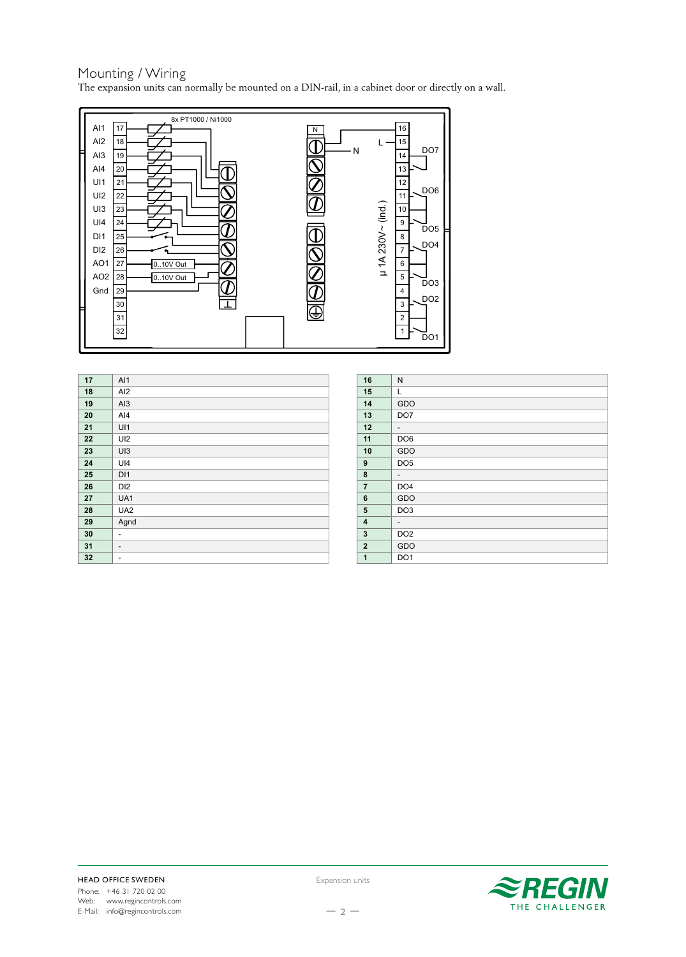#### Mounting / Wiring The expansion units can normally be mounted on a DIN-rail, in a cabinet door or directly on a wall.



| 17 | AI1                      |
|----|--------------------------|
| 18 | AI <sub>2</sub>          |
| 19 | AI3                      |
| 20 | $A$ <sub>14</sub>        |
| 21 | UI1                      |
| 22 | UI2                      |
| 23 | UI3                      |
| 24 | UI4                      |
| 25 | D <sub>1</sub>           |
| 26 | DI <sub>2</sub>          |
| 27 | UA1                      |
| 28 | UA <sub>2</sub>          |
| 29 | Agnd                     |
| 30 | ۰                        |
| 31 | $\overline{\phantom{a}}$ |
| 32 | ۰                        |
|    |                          |

| 16             | N               |
|----------------|-----------------|
| 15             | Г               |
| 14             | GDO             |
| 13             | DO <sub>7</sub> |
| 12             | -               |
| 11             | DO <sub>6</sub> |
| 10             | GDO             |
| 9              | DO <sub>5</sub> |
| 8              | -               |
| $\overline{7}$ | DO <sub>4</sub> |
| 6              | GDO             |
| 5              | DO <sub>3</sub> |
| 4              | -               |
| 3              | DO <sub>2</sub> |
| $\mathbf{2}$   | GDO             |
| $\mathbf{1}$   | DO <sub>1</sub> |



Expansion units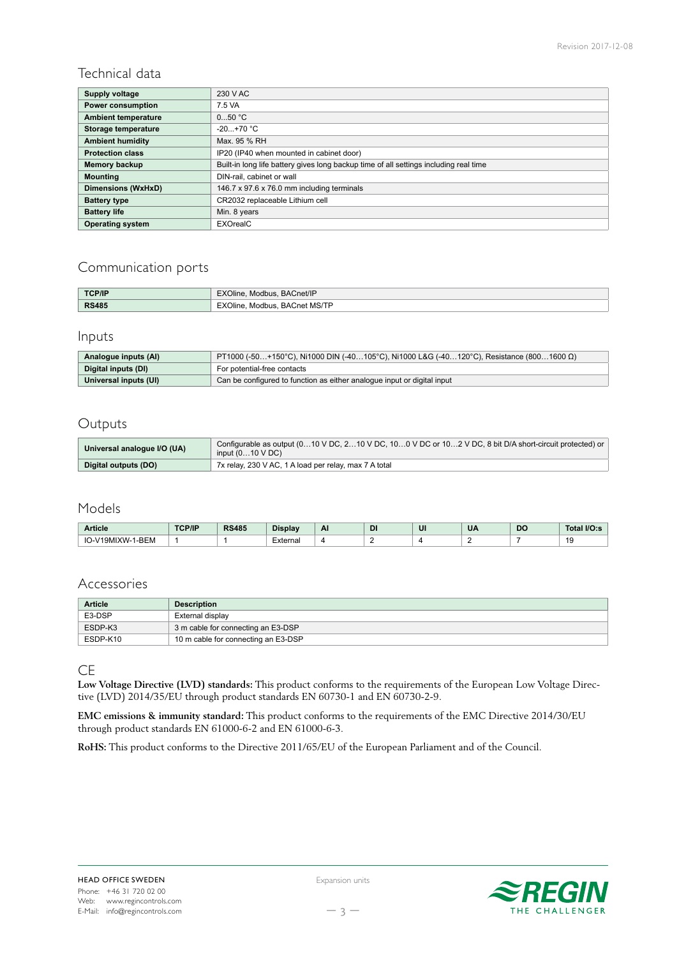## Technical data

| <b>Supply voltage</b>      | 230 V AC                                                                              |  |  |  |
|----------------------------|---------------------------------------------------------------------------------------|--|--|--|
| <b>Power consumption</b>   | 7.5 VA                                                                                |  |  |  |
| <b>Ambient temperature</b> | 050 °C                                                                                |  |  |  |
| Storage temperature        | $-20+70$ °C                                                                           |  |  |  |
| <b>Ambient humidity</b>    | Max. 95 % RH                                                                          |  |  |  |
| <b>Protection class</b>    | IP20 (IP40 when mounted in cabinet door)                                              |  |  |  |
| Memory backup              | Built-in long life battery gives long backup time of all settings including real time |  |  |  |
| <b>Mounting</b>            | DIN-rail, cabinet or wall                                                             |  |  |  |
| Dimensions (WxHxD)         | 146.7 x 97.6 x 76.0 mm including terminals                                            |  |  |  |
| <b>Battery type</b>        | CR2032 replaceable Lithium cell                                                       |  |  |  |
| <b>Battery life</b>        | Min. 8 years                                                                          |  |  |  |
| <b>Operating system</b>    | EXOrealC                                                                              |  |  |  |

## Communication ports

| <b>TCP/IP</b> | EXOline, Modbus, BACnet/IP            |
|---------------|---------------------------------------|
| <b>RS485</b>  | . BACnet MS/TP<br>EXOline.<br>Modbus. |

## Inputs

| Analogue inputs (AI)  | $PT1000$ (-50+150°C), Ni1000 DIN (-40105°C), Ni1000 L&G (-40120°C), Resistance (8001600 Ω) |  |  |  |
|-----------------------|--------------------------------------------------------------------------------------------|--|--|--|
| Digital inputs (DI)   | For potential-free contacts                                                                |  |  |  |
| Universal inputs (UI) | Can be configured to function as either analogue input or digital input                    |  |  |  |

#### Outputs

| Universal analogue I/O (UA) | Configurable as output (010 V DC, 210 V DC, 100 V DC or 102 V DC, 8 bit D/A short-circuit protected) or<br>input $(010 \vee DC)$ |
|-----------------------------|----------------------------------------------------------------------------------------------------------------------------------|
| Digital outputs (DO)        | 7x relay, 230 V AC, 1 A load per relay, max 7 A total                                                                            |

#### Models

| Article                                  | TCP/IF | <b>RS485</b> | --<br>Display | Al<br>- - | <b>DI</b> | UI | <b>UA</b> | DC | 110<br>Tot.<br>I/V.S                   |
|------------------------------------------|--------|--------------|---------------|-----------|-----------|----|-----------|----|----------------------------------------|
| <b>BEM</b><br>IO-<br>*JN/L∟<br>Y W - 1 - |        |              | ⊥xternal      |           |           |    |           |    | $\overline{\phantom{a}}$<br><br>$\sim$ |

#### Accessories

| <b>Article</b> | <b>Description</b>                  |
|----------------|-------------------------------------|
| E3-DSP         | External display                    |
| ESDP-K3        | 3 m cable for connecting an E3-DSP  |
| ESDP-K10       | 10 m cable for connecting an E3-DSP |

#### CE

**Low Voltage Directive (LVD) standards:** This product conforms to the requirements of the European Low Voltage Directive (LVD) 2014/35/EU through product standards EN 60730-1 and EN 60730-2-9.

**EMC emissions & immunity standard:** This product conforms to the requirements of the EMC Directive 2014/30/EU through product standards EN 61000-6-2 and EN 61000-6-3.

**RoHS:** This product conforms to the Directive 2011/65/EU of the European Parliament and of the Council.